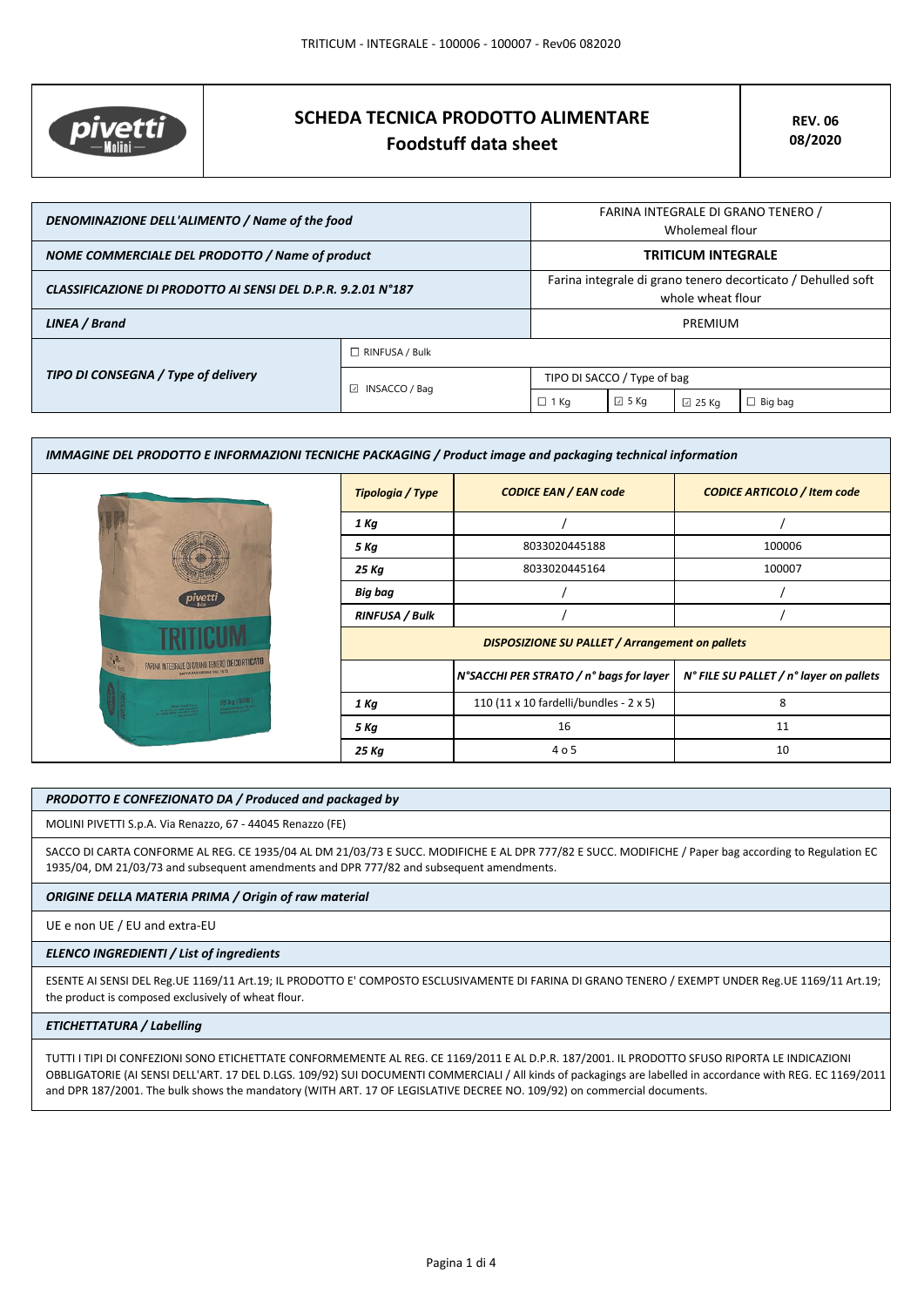

# **SCHEDA TECNICA PRODOTTO ALIMENTARE Foodstuff data sheet**

| DENOMINAZIONE DELL'ALIMENTO / Name of the food               |                       | FARINA INTEGRALE DI GRANO TENERO /<br>Wholemeal flour                             |                |                 |                |
|--------------------------------------------------------------|-----------------------|-----------------------------------------------------------------------------------|----------------|-----------------|----------------|
| NOME COMMERCIALE DEL PRODOTTO / Name of product              |                       | <b>TRITICUM INTEGRALE</b>                                                         |                |                 |                |
| CLASSIFICAZIONE DI PRODOTTO AI SENSI DEL D.P.R. 9.2.01 N°187 |                       | Farina integrale di grano tenero decorticato / Dehulled soft<br>whole wheat flour |                |                 |                |
| LINEA / Brand                                                |                       | PREMIUM                                                                           |                |                 |                |
|                                                              | $\Box$ RINFUSA / Bulk |                                                                                   |                |                 |                |
| TIPO DI CONSEGNA / Type of delivery                          | ⊡<br>INSACCO / Bag    | TIPO DI SACCO / Type of bag                                                       |                |                 |                |
|                                                              |                       | $\Box$ 1 Kg                                                                       | $\boxdot$ 5 Kg | $\boxdot$ 25 Kg | $\Box$ Big bag |

| IMMAGINE DEL PRODOTTO E INFORMAZIONI TECNICHE PACKAGING / Product image and packaging technical information |                                                        |                                         |                                         |
|-------------------------------------------------------------------------------------------------------------|--------------------------------------------------------|-----------------------------------------|-----------------------------------------|
|                                                                                                             | Tipologia / Type                                       | <b>CODICE EAN / EAN code</b>            | <b>CODICE ARTICOLO / Item code</b>      |
|                                                                                                             | 1 Kg                                                   |                                         |                                         |
|                                                                                                             | 5 Kg                                                   | 8033020445188                           | 100006                                  |
|                                                                                                             | 25 Kg                                                  | 8033020445164                           | 100007                                  |
|                                                                                                             | Big bag                                                |                                         |                                         |
|                                                                                                             | <b>RINFUSA / Bulk</b>                                  |                                         |                                         |
|                                                                                                             | <b>DISPOSIZIONE SU PALLET / Arrangement on pallets</b> |                                         |                                         |
| <b>ALLEY</b><br><b>FARINA INTEGRALE DI GRANO TENERO DECORTICATI</b><br>LAPER FAR FARINA DAL 1872            |                                                        | N°SACCHI PER STRATO / n° bags for layer | N° FILE SU PALLET / n° layer on pallets |
| 25 kg (55ib)<br><b>Signal Rad</b><br>Contact Party                                                          | 1 Kg                                                   | 110 (11 x 10 fardelli/bundles - 2 x 5)  | 8                                       |
|                                                                                                             | 5 Kg                                                   | 16                                      | 11                                      |
|                                                                                                             | 25 Kg                                                  | 4 o 5                                   | 10                                      |

# *PRODOTTO E CONFEZIONATO DA / Produced and packaged by*

MOLINI PIVETTI S.p.A. Via Renazzo, 67 - 44045 Renazzo (FE)

SACCO DI CARTA CONFORME AL REG. CE 1935/04 AL DM 21/03/73 E SUCC. MODIFICHE E AL DPR 777/82 E SUCC. MODIFICHE / Paper bag according to Regulation EC 1935/04, DM 21/03/73 and subsequent amendments and DPR 777/82 and subsequent amendments.

# *ORIGINE DELLA MATERIA PRIMA / Origin of raw material*

UE e non UE / EU and extra-EU

#### *ELENCO INGREDIENTI / List of ingredients*

ESENTE AI SENSI DEL Reg.UE 1169/11 Art.19; IL PRODOTTO E' COMPOSTO ESCLUSIVAMENTE DI FARINA DI GRANO TENERO / EXEMPT UNDER Reg.UE 1169/11 Art.19; the product is composed exclusively of wheat flour.

## *ETICHETTATURA / Labelling*

TUTTI I TIPI DI CONFEZIONI SONO ETICHETTATE CONFORMEMENTE AL REG. CE 1169/2011 E AL D.P.R. 187/2001. IL PRODOTTO SFUSO RIPORTA LE INDICAZIONI OBBLIGATORIE (AI SENSI DELL'ART. 17 DEL D.LGS. 109/92) SUI DOCUMENTI COMMERCIALI / All kinds of packagings are labelled in accordance with REG. EC 1169/2011 and DPR 187/2001. The bulk shows the mandatory (WITH ART. 17 OF LEGISLATIVE DECREE NO. 109/92) on commercial documents.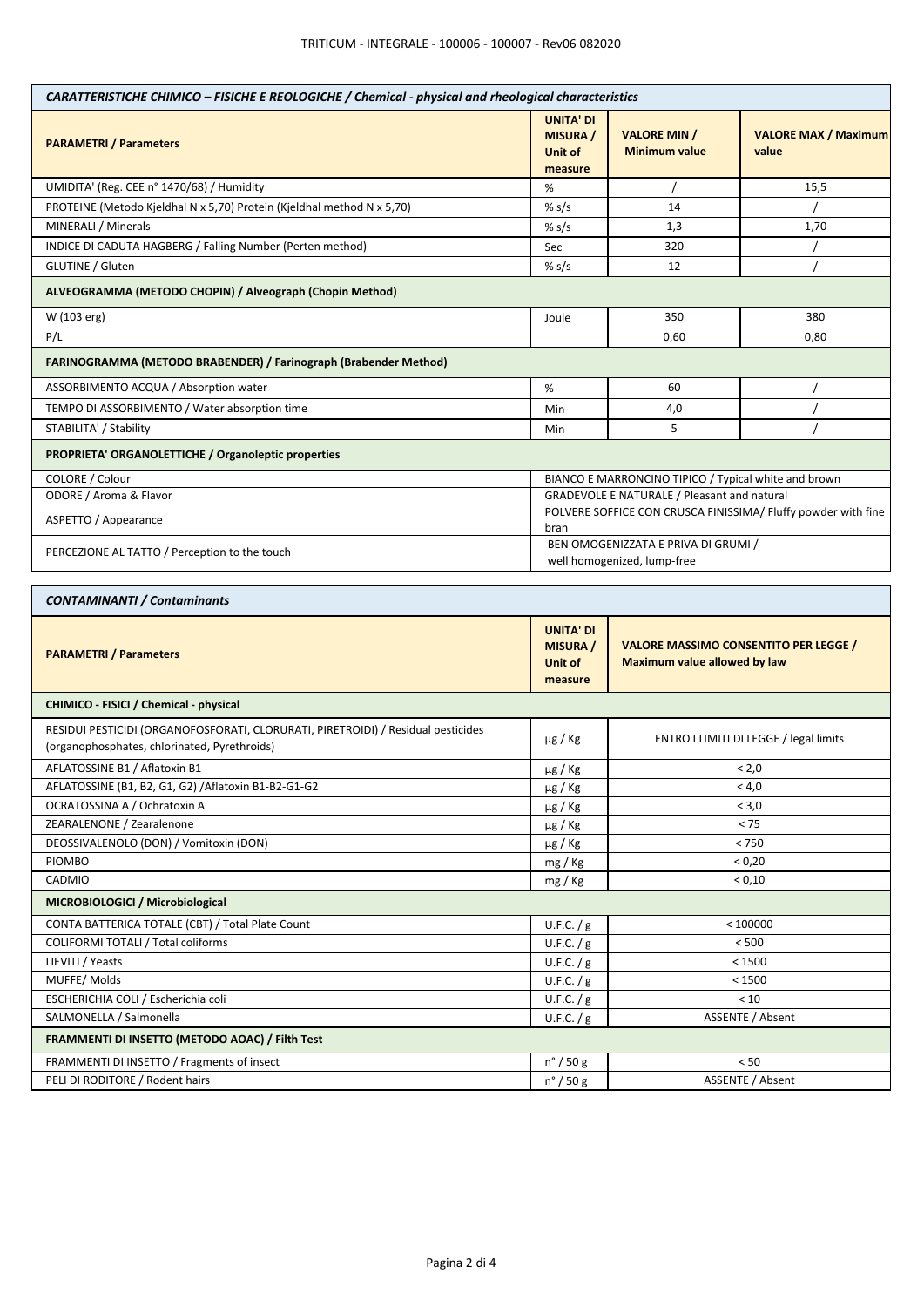| CARATTERISTICHE CHIMICO - FISICHE E REOLOGICHE / Chemical - physical and rheological characteristics                             |                                                           |                                                                                     |                                      |  |
|----------------------------------------------------------------------------------------------------------------------------------|-----------------------------------------------------------|-------------------------------------------------------------------------------------|--------------------------------------|--|
| <b>PARAMETRI</b> / Parameters                                                                                                    | <b>UNITA' DI</b><br><b>MISURA</b> /<br>Unit of<br>measure | <b>VALORE MIN /</b><br><b>Minimum value</b>                                         | <b>VALORE MAX / Maximum</b><br>value |  |
| UMIDITA' (Reg. CEE n° 1470/68) / Humidity                                                                                        | %                                                         |                                                                                     | 15,5                                 |  |
| PROTEINE (Metodo Kjeldhal N x 5,70) Protein (Kjeldhal method N x 5,70)                                                           | % $s/s$                                                   | 14                                                                                  |                                      |  |
| MINERALI / Minerals                                                                                                              | % $s/s$                                                   | 1,3                                                                                 | 1,70                                 |  |
| INDICE DI CADUTA HAGBERG / Falling Number (Perten method)                                                                        | Sec                                                       | 320                                                                                 |                                      |  |
| GLUTINE / Gluten                                                                                                                 | % $s/s$                                                   | 12                                                                                  |                                      |  |
| ALVEOGRAMMA (METODO CHOPIN) / Alveograph (Chopin Method)                                                                         |                                                           |                                                                                     |                                      |  |
| W (103 erg)                                                                                                                      | Joule                                                     | 350                                                                                 | 380                                  |  |
| P/L                                                                                                                              |                                                           | 0,60<br>0,80                                                                        |                                      |  |
| FARINOGRAMMA (METODO BRABENDER) / Farinograph (Brabender Method)                                                                 |                                                           |                                                                                     |                                      |  |
| ASSORBIMENTO ACQUA / Absorption water                                                                                            | %                                                         | 60                                                                                  |                                      |  |
| TEMPO DI ASSORBIMENTO / Water absorption time                                                                                    | Min                                                       | 4,0                                                                                 |                                      |  |
| STABILITA' / Stability                                                                                                           | Min                                                       | 5                                                                                   |                                      |  |
| PROPRIETA' ORGANOLETTICHE / Organoleptic properties                                                                              |                                                           |                                                                                     |                                      |  |
| COLORE / Colour                                                                                                                  |                                                           | BIANCO E MARRONCINO TIPICO / Typical white and brown                                |                                      |  |
| ODORE / Aroma & Flavor                                                                                                           |                                                           | GRADEVOLE E NATURALE / Pleasant and natural                                         |                                      |  |
| ASPETTO / Appearance                                                                                                             | bran                                                      | POLVERE SOFFICE CON CRUSCA FINISSIMA/ Fluffy powder with fine                       |                                      |  |
| PERCEZIONE AL TATTO / Perception to the touch                                                                                    |                                                           | BEN OMOGENIZZATA E PRIVA DI GRUMI /<br>well homogenized, lump-free                  |                                      |  |
| <b>CONTAMINANTI / Contaminants</b>                                                                                               |                                                           |                                                                                     |                                      |  |
| <b>PARAMETRI / Parameters</b>                                                                                                    | <b>UNITA' DI</b><br><b>MISURA</b> /<br>Unit of<br>measure | <b>VALORE MASSIMO CONSENTITO PER LEGGE /</b><br><b>Maximum value allowed by law</b> |                                      |  |
| CHIMICO - FISICI / Chemical - physical                                                                                           |                                                           |                                                                                     |                                      |  |
| RESIDUI PESTICIDI (ORGANOFOSFORATI, CLORURATI, PIRETROIDI) / Residual pesticides<br>(organophosphates, chlorinated, Pyrethroids) | $\mu$ g / Kg                                              | ENTRO I LIMITI DI LEGGE / legal limits                                              |                                      |  |
| AFLATOSSINE B1 / Aflatoxin B1                                                                                                    | µg / Kg                                                   | < 2,0                                                                               |                                      |  |
| AFLATOSSINE (B1, B2, G1, G2) / Aflatoxin B1-B2-G1-G2                                                                             | µg / Kg                                                   | < 4,0                                                                               |                                      |  |
| OCRATOSSINA A / Ochratoxin A                                                                                                     | µg / Kg                                                   | < 3,0                                                                               |                                      |  |
| ZEARALENONE / Zearalenone                                                                                                        | µg / Kg                                                   | < 75                                                                                |                                      |  |
| DEOSSIVALENOLO (DON) / Vomitoxin (DON)                                                                                           | µg / Kg                                                   | < 750                                                                               |                                      |  |
| <b>PIOMBO</b>                                                                                                                    | mg / Kg                                                   | < 0,20                                                                              |                                      |  |
| CADMIO                                                                                                                           | mg / Kg                                                   | < 0,10                                                                              |                                      |  |
| MICROBIOLOGICI / Microbiological                                                                                                 |                                                           |                                                                                     |                                      |  |
| CONTA BATTERICA TOTALE (CBT) / Total Plate Count                                                                                 | U.F.C. $/g$                                               |                                                                                     | < 100000                             |  |
| <b>COLIFORMI TOTALI / Total coliforms</b>                                                                                        | U.F.C. $/g$                                               | < 500                                                                               |                                      |  |
| LIEVITI / Yeasts                                                                                                                 | U.F.C. / g                                                | < 1500                                                                              |                                      |  |
| MUFFE/Molds                                                                                                                      | U.F.C. / g                                                | < 1500                                                                              |                                      |  |
| ESCHERICHIA COLI / Escherichia coli                                                                                              | U.F.C. / g                                                | < 10                                                                                |                                      |  |
| SALMONELLA / Salmonella                                                                                                          | U.F.C. / g                                                | ASSENTE / Absent                                                                    |                                      |  |
| FRAMMENTI DI INSETTO (METODO AOAC) / Filth Test                                                                                  |                                                           |                                                                                     |                                      |  |
| FRAMMENTI DI INSETTO / Fragments of insect                                                                                       | $n^{\circ}$ / 50 g                                        | < 50                                                                                |                                      |  |
| PELI DI RODITORE / Rodent hairs                                                                                                  | $n^{\circ}$ / 50 g                                        | ASSENTE / Absent                                                                    |                                      |  |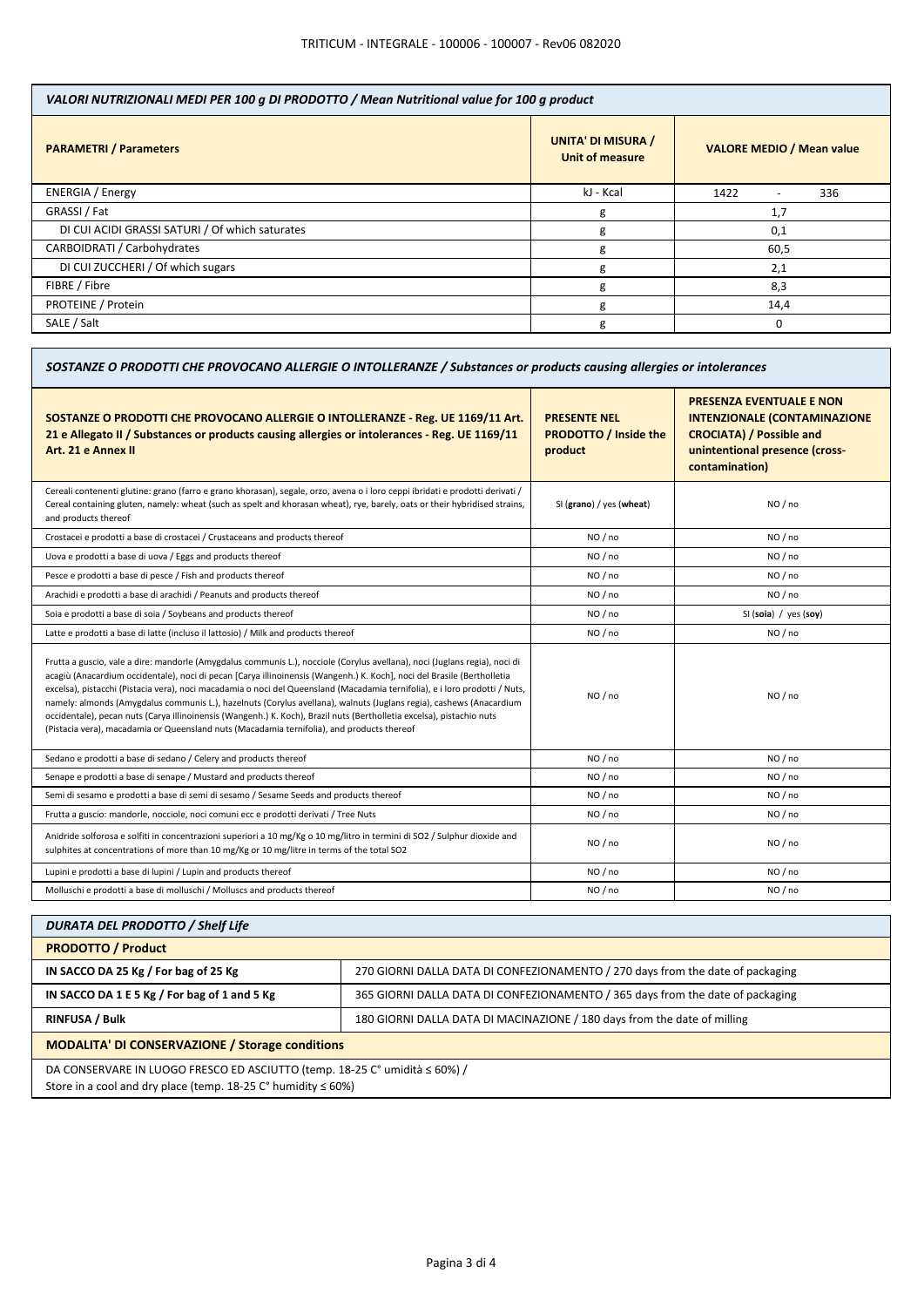| VALORI NUTRIZIONALI MEDI PER 100 g DI PRODOTTO / Mean Nutritional value for 100 g product |                                              |                                         |  |
|-------------------------------------------------------------------------------------------|----------------------------------------------|-----------------------------------------|--|
| <b>PARAMETRI / Parameters</b>                                                             | <b>UNITA' DI MISURA /</b><br>Unit of measure | <b>VALORE MEDIO / Mean value</b>        |  |
| <b>ENERGIA / Energy</b>                                                                   | kJ - Kcal                                    | 1422<br>336<br>$\overline{\phantom{a}}$ |  |
| GRASSI / Fat                                                                              | g                                            | 1,7                                     |  |
| DI CUI ACIDI GRASSI SATURI / Of which saturates                                           | g                                            | 0,1                                     |  |
| CARBOIDRATI / Carbohydrates                                                               | g                                            | 60,5                                    |  |
| DI CUI ZUCCHERI / Of which sugars                                                         | g                                            | 2,1                                     |  |
| FIBRE / Fibre                                                                             | g                                            | 8,3                                     |  |
| PROTEINE / Protein                                                                        | g                                            | 14,4                                    |  |
| SALE / Salt                                                                               | g                                            |                                         |  |

| SOSTANZE O PRODOTTI CHE PROVOCANO ALLERGIE O INTOLLERANZE / Substances or products causing allergies or intolerances |                                                                                                                                                               |  |  |
|----------------------------------------------------------------------------------------------------------------------|---------------------------------------------------------------------------------------------------------------------------------------------------------------|--|--|
| <b>PRESENTE NEL</b><br><b>PRODOTTO / Inside the</b><br>product                                                       | <b>PRESENZA EVENTUALE E NON</b><br><b>INTENZIONALE (CONTAMINAZIONE</b><br><b>CROCIATA) / Possible and</b><br>unintentional presence (cross-<br>contamination) |  |  |
| SI (grano) / yes (wheat)                                                                                             | NO / no                                                                                                                                                       |  |  |
| NO / no                                                                                                              | NO / no                                                                                                                                                       |  |  |
| NO / no                                                                                                              | NO/no                                                                                                                                                         |  |  |
| NO / no                                                                                                              | NO/no                                                                                                                                                         |  |  |
| NO / no                                                                                                              | NO / no                                                                                                                                                       |  |  |
| NO / no                                                                                                              | SI (soia) / yes (soy)                                                                                                                                         |  |  |
| NO / no                                                                                                              | NO / no                                                                                                                                                       |  |  |
| NO/no                                                                                                                | NO/no                                                                                                                                                         |  |  |
| NO / no                                                                                                              | NO / no                                                                                                                                                       |  |  |
| NO / no                                                                                                              | NO / no                                                                                                                                                       |  |  |
| NO / no                                                                                                              | NO / no                                                                                                                                                       |  |  |
| NO / no                                                                                                              | NO/no                                                                                                                                                         |  |  |
| NO / no                                                                                                              | NO / no                                                                                                                                                       |  |  |
| NO / no                                                                                                              | NO / no                                                                                                                                                       |  |  |
| NO / no                                                                                                              | NO / no                                                                                                                                                       |  |  |
|                                                                                                                      |                                                                                                                                                               |  |  |

| <b>DURATA DEL PRODOTTO / Shelf Life</b>                                                                                                                     |                                                                                |  |
|-------------------------------------------------------------------------------------------------------------------------------------------------------------|--------------------------------------------------------------------------------|--|
| <b>PRODOTTO / Product</b>                                                                                                                                   |                                                                                |  |
| IN SACCO DA 25 Kg / For bag of 25 Kg                                                                                                                        | 270 GIORNI DALLA DATA DI CONFEZIONAMENTO / 270 days from the date of packaging |  |
| IN SACCO DA 1 E 5 Kg / For bag of 1 and 5 Kg                                                                                                                | 365 GIORNI DALLA DATA DI CONFEZIONAMENTO / 365 days from the date of packaging |  |
| <b>RINFUSA / Bulk</b>                                                                                                                                       | 180 GIORNI DALLA DATA DI MACINAZIONE / 180 days from the date of milling       |  |
| <b>MODALITA' DI CONSERVAZIONE / Storage conditions</b>                                                                                                      |                                                                                |  |
| DA CONSERVARE IN LUOGO FRESCO ED ASCIUTTO (temp. 18-25 C° umidità ≤ 60%) /<br>Store in a cool and dry place (temp. 18-25 $C^{\circ}$ humidity $\leq 60\%$ ) |                                                                                |  |